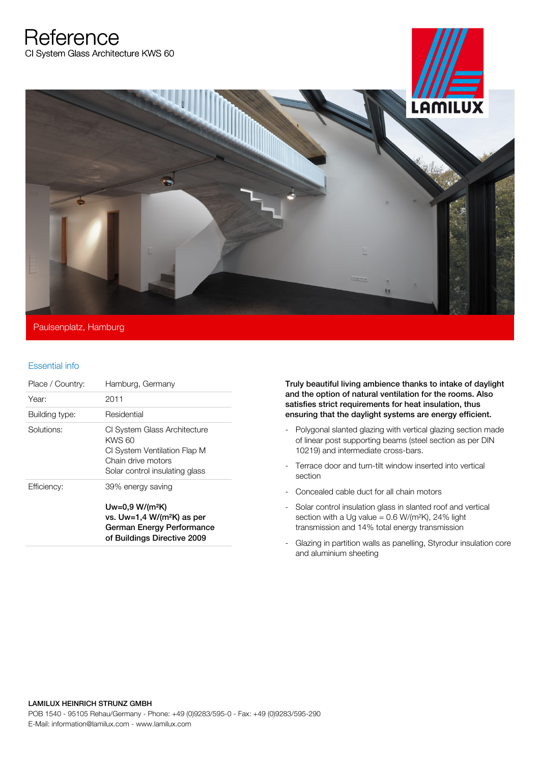**Reference** CI System Glass Architecture KWS 60



## Paulsenplatz, Hamburg

## Essential info

| Place / Country: | Hamburg, Germany                                                                                                                             |
|------------------|----------------------------------------------------------------------------------------------------------------------------------------------|
| Year:            | 2011                                                                                                                                         |
| Building type:   | Residential                                                                                                                                  |
| Solutions:       | CI System Glass Architecture<br>KWS 60<br>CI System Ventilation Flap M<br>Chain drive motors<br>Solar control insulating glass               |
| Efficiency:      | 39% energy saving<br>$Uw=0.9 W/(m^2K)$<br>vs. Uw=1,4 W/(m <sup>2</sup> K) as per<br>German Energy Performance<br>of Buildings Directive 2009 |

Truly beautiful living ambience thanks to intake of daylight and the option of natural ventilation for the rooms. Also satisfies strict requirements for heat insulation, thus ensuring that the daylight systems are energy efficient.

- Polygonal slanted glazing with vertical glazing section made of linear post supporting beams (steel section as per DIN 10219) and intermediate cross-bars.
- Terrace door and turn-tilt window inserted into vertical section
- Concealed cable duct for all chain motors
- Solar control insulation glass in slanted roof and vertical section with a Ug value =  $0.6$  W/(m<sup>2</sup>K), 24% light transmission and 14% total energy transmission
- Glazing in partition walls as panelling, Styrodur insulation core and aluminium sheeting